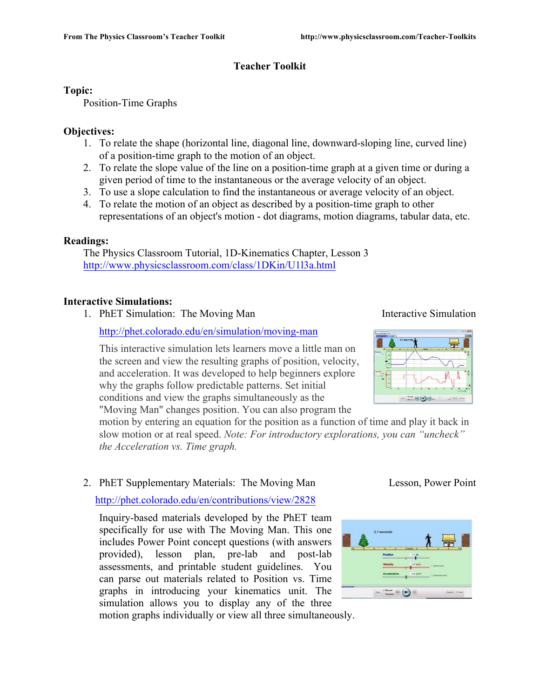# **Teacher Toolkit**

#### **Topic:**

Position-Time Graphs

### **Objectives:**

- 1. To relate the shape (horizontal line, diagonal line, downward-sloping line, curved line) of a position-time graph to the motion of an object.
- 2. To relate the slope value of the line on a position-time graph at a given time or during a given period of time to the instantaneous or the average velocity of an object.
- 3. To use a slope calculation to find the instantaneous or average velocity of an object.
- 4. To relate the motion of an object as described by a position-time graph to other representations of an object's motion - dot diagrams, motion diagrams, tabular data, etc.

# **Readings:**

The Physics Classroom Tutorial, 1D-Kinematics Chapter, Lesson 3 http://www.physicsclassroom.com/class/1DKin/U1l3a.html

# **Interactive Simulations:**

1. PhET Simulation: The Moving Man Interactive Simulation

http://phet.colorado.edu/en/simulation/moving-man

This interactive simulation lets learners move a little man on the screen and view the resulting graphs of position, velocity, and acceleration. It was developed to help beginners explore why the graphs follow predictable patterns. Set initial conditions and view the graphs simultaneously as the "Moving Man" changes position. You can also program the

motion by entering an equation for the position as a function of time and play it back in slow motion or at real speed. *Note: For introductory explorations, you can "uncheck" the Acceleration vs. Time graph.* 

# 2. PhET Supplementary Materials: The Moving Man Lesson, Power Point

http://phet.colorado.edu/en/contributions/view/2828

Inquiry-based materials developed by the PhET team specifically for use with The Moving Man. This one includes Power Point concept questions (with answers provided), lesson plan, pre-lab and post-lab assessments, and printable student guidelines. You can parse out materials related to Position vs. Time graphs in introducing your kinematics unit. The simulation allows you to display any of the three motion graphs individually or view all three simultaneously.



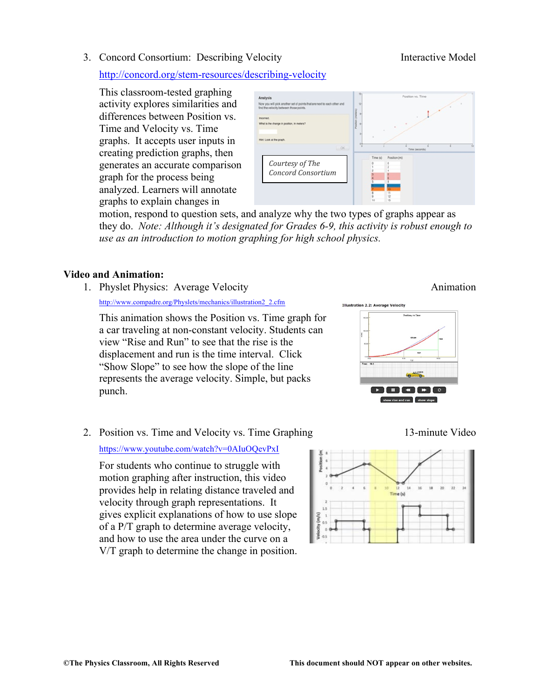3. Concord Consortium: Describing Velocity Interactive Model

http://concord.org/stem-resources/describing-velocity

This classroom-tested graphing activity explores similarities and differences between Position vs. Time and Velocity vs. Time graphs. It accepts user inputs in creating prediction graphs, then generates an accurate comparison graph for the process being analyzed. Learners will annotate graphs to explain changes in



motion, respond to question sets, and analyze why the two types of graphs appear as they do. *Note: Although it's designated for Grades 6-9, this activity is robust enough to use as an introduction to motion graphing for high school physics.* 

### **Video and Animation:**

1. Physlet Physics: Average Velocity **Animation** Animation

http://www.compadre.org/Physlets/mechanics/illustration2\_2.cfm

This animation shows the Position vs. Time graph for a car traveling at non-constant velocity. Students can view "Rise and Run" to see that the rise is the displacement and run is the time interval. Click "Show Slope" to see how the slope of the line represents the average velocity. Simple, but packs punch.

# 2. Position vs. Time and Velocity vs. Time Graphing 13-minute Video

#### https://www.youtube.com/watch?v=0AIuOQevPxI

For students who continue to struggle with motion graphing after instruction, this video provides help in relating distance traveled and velocity through graph representations. It gives explicit explanations of how to use slope of a P/T graph to determine average velocity, and how to use the area under the curve on a V/T graph to determine the change in position.



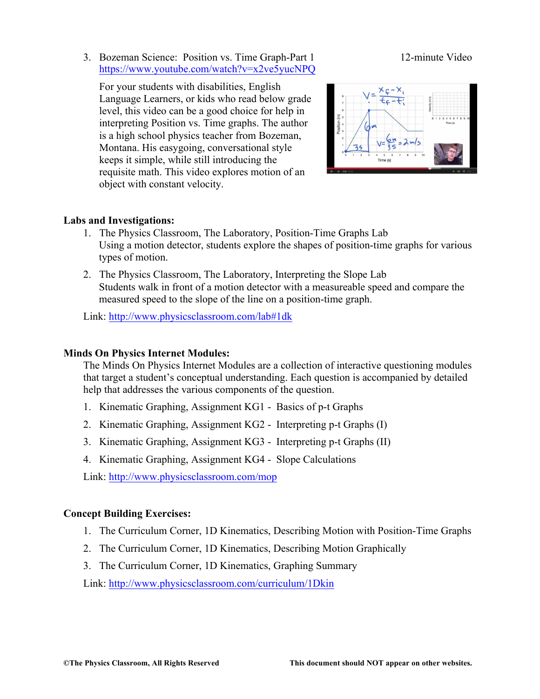3. Bozeman Science: Position vs. Time Graph-Part 1 12-minute Video https://www.youtube.com/watch?v=x2ve5yucNPQ

For your students with disabilities, English Language Learners, or kids who read below grade level, this video can be a good choice for help in interpreting Position vs. Time graphs. The author is a high school physics teacher from Bozeman, Montana. His easygoing, conversational style keeps it simple, while still introducing the requisite math. This video explores motion of an object with constant velocity.



#### **Labs and Investigations:**

- 1. The Physics Classroom, The Laboratory, Position-Time Graphs Lab Using a motion detector, students explore the shapes of position-time graphs for various types of motion.
- 2. The Physics Classroom, The Laboratory, Interpreting the Slope Lab Students walk in front of a motion detector with a measureable speed and compare the measured speed to the slope of the line on a position-time graph.

Link: http://www.physicsclassroom.com/lab#1dk

#### **Minds On Physics Internet Modules:**

The Minds On Physics Internet Modules are a collection of interactive questioning modules that target a student's conceptual understanding. Each question is accompanied by detailed help that addresses the various components of the question.

- 1. Kinematic Graphing, Assignment KG1 Basics of p-t Graphs
- 2. Kinematic Graphing, Assignment KG2 Interpreting p-t Graphs (I)
- 3. Kinematic Graphing, Assignment KG3 Interpreting p-t Graphs (II)
- 4. Kinematic Graphing, Assignment KG4 Slope Calculations

Link: http://www.physicsclassroom.com/mop

#### **Concept Building Exercises:**

- 1. The Curriculum Corner, 1D Kinematics, Describing Motion with Position-Time Graphs
- 2. The Curriculum Corner, 1D Kinematics, Describing Motion Graphically
- 3. The Curriculum Corner, 1D Kinematics, Graphing Summary

Link: http://www.physicsclassroom.com/curriculum/1Dkin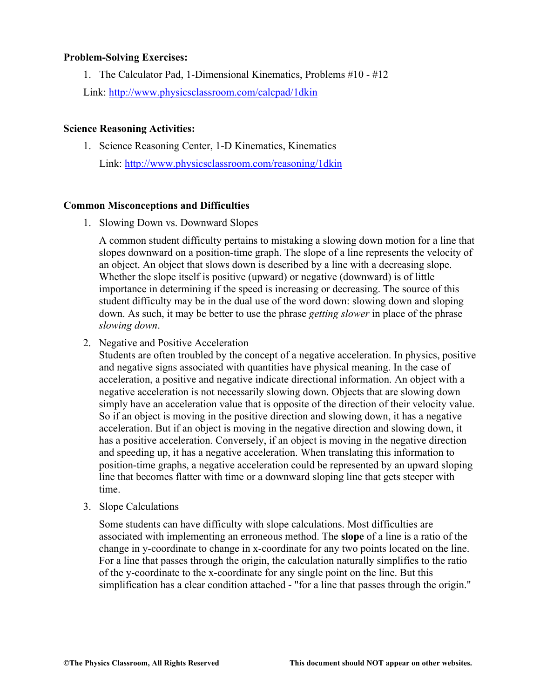#### **Problem-Solving Exercises:**

1. The Calculator Pad, 1-Dimensional Kinematics, Problems #10 - #12 Link: http://www.physicsclassroom.com/calcpad/1dkin

#### **Science Reasoning Activities:**

1. Science Reasoning Center, 1-D Kinematics, Kinematics Link: http://www.physicsclassroom.com/reasoning/1dkin

#### **Common Misconceptions and Difficulties**

1. Slowing Down vs. Downward Slopes

A common student difficulty pertains to mistaking a slowing down motion for a line that slopes downward on a position-time graph. The slope of a line represents the velocity of an object. An object that slows down is described by a line with a decreasing slope. Whether the slope itself is positive (upward) or negative (downward) is of little importance in determining if the speed is increasing or decreasing. The source of this student difficulty may be in the dual use of the word down: slowing down and sloping down. As such, it may be better to use the phrase *getting slower* in place of the phrase *slowing down*.

2. Negative and Positive Acceleration

Students are often troubled by the concept of a negative acceleration. In physics, positive and negative signs associated with quantities have physical meaning. In the case of acceleration, a positive and negative indicate directional information. An object with a negative acceleration is not necessarily slowing down. Objects that are slowing down simply have an acceleration value that is opposite of the direction of their velocity value. So if an object is moving in the positive direction and slowing down, it has a negative acceleration. But if an object is moving in the negative direction and slowing down, it has a positive acceleration. Conversely, if an object is moving in the negative direction and speeding up, it has a negative acceleration. When translating this information to position-time graphs, a negative acceleration could be represented by an upward sloping line that becomes flatter with time or a downward sloping line that gets steeper with time.

3. Slope Calculations

Some students can have difficulty with slope calculations. Most difficulties are associated with implementing an erroneous method. The **slope** of a line is a ratio of the change in y-coordinate to change in x-coordinate for any two points located on the line. For a line that passes through the origin, the calculation naturally simplifies to the ratio of the y-coordinate to the x-coordinate for any single point on the line. But this simplification has a clear condition attached - "for a line that passes through the origin."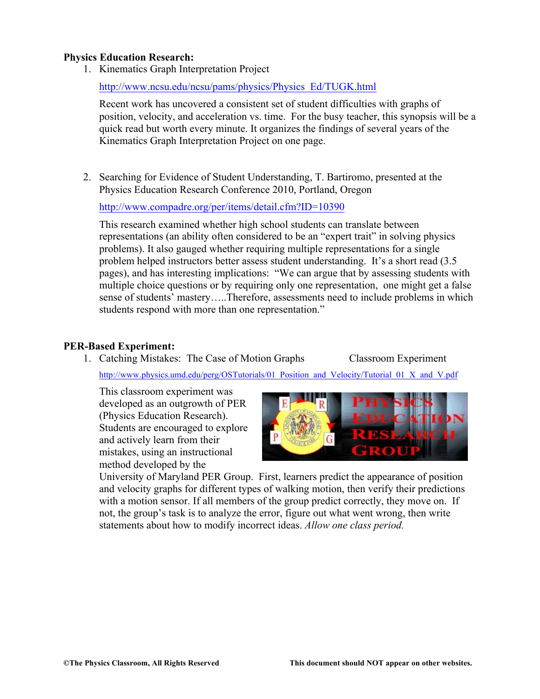#### **Physics Education Research:**

1. Kinematics Graph Interpretation Project

http://www.ncsu.edu/ncsu/pams/physics/Physics\_Ed/TUGK.html

Recent work has uncovered a consistent set of student difficulties with graphs of position, velocity, and acceleration vs. time. For the busy teacher, this synopsis will be a quick read but worth every minute. It organizes the findings of several years of the Kinematics Graph Interpretation Project on one page.

2. Searching for Evidence of Student Understanding, T. Bartiromo, presented at the Physics Education Research Conference 2010, Portland, Oregon

http://www.compadre.org/per/items/detail.cfm?ID=10390

This research examined whether high school students can translate between representations (an ability often considered to be an "expert trait" in solving physics problems). It also gauged whether requiring multiple representations for a single problem helped instructors better assess student understanding. It's a short read (3.5 pages), and has interesting implications: "We can argue that by assessing students with multiple choice questions or by requiring only one representation, one might get a false sense of students' mastery…..Therefore, assessments need to include problems in which students respond with more than one representation."

#### **PER-Based Experiment:**

1. Catching Mistakes: The Case of Motion Graphs Classroom Experiment http://www.physics.umd.edu/perg/OSTutorials/01\_Position\_and\_Velocity/Tutorial\_01\_X\_and\_V.pdf

This classroom experiment was developed as an outgrowth of PER (Physics Education Research). Students are encouraged to explore and actively learn from their mistakes, using an instructional method developed by the



University of Maryland PER Group. First, learners predict the appearance of position and velocity graphs for different types of walking motion, then verify their predictions with a motion sensor. If all members of the group predict correctly, they move on. If not, the group's task is to analyze the error, figure out what went wrong, then write statements about how to modify incorrect ideas. *Allow one class period.*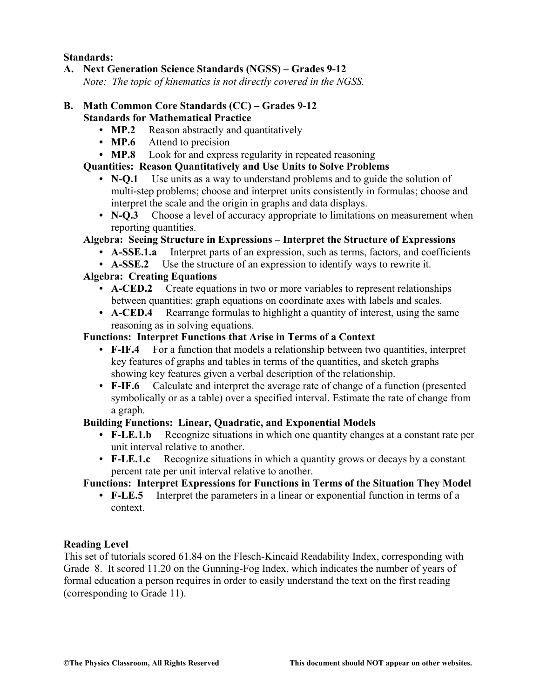#### **Standards:**

**A. Next Generation Science Standards (NGSS) – Grades 9-12**

*Note: The topic of kinematics is not directly covered in the NGSS.* 

#### **B. Math Common Core Standards (CC) – Grades 9-12 Standards for Mathematical Practice**

- **MP.2** Reason abstractly and quantitatively
- **MP.6** Attend to precision
- **• MP.8** Look for and express regularity in repeated reasoning

#### **Quantities: Reason Quantitatively and Use Units to Solve Problems**

- **• N-Q.1** Use units as a way to understand problems and to guide the solution of multi-step problems; choose and interpret units consistently in formulas; choose and interpret the scale and the origin in graphs and data displays.
- **• N-Q.3** Choose a level of accuracy appropriate to limitations on measurement when reporting quantities.

### **Algebra: Seeing Structure in Expressions – Interpret the Structure of Expressions**

- **• A-SSE.1.a** Interpret parts of an expression, such as terms, factors, and coefficients
- **• A-SSE.2** Use the structure of an expression to identify ways to rewrite it.

### **Algebra: Creating Equations**

- **• A-CED.2** Create equations in two or more variables to represent relationships between quantities; graph equations on coordinate axes with labels and scales.
- **• A-CED.4** Rearrange formulas to highlight a quantity of interest, using the same reasoning as in solving equations.

#### **Functions: Interpret Functions that Arise in Terms of a Context**

- **• F-IF.4** For a function that models a relationship between two quantities, interpret key features of graphs and tables in terms of the quantities, and sketch graphs showing key features given a verbal description of the relationship.
- **• F-IF.6** Calculate and interpret the average rate of change of a function (presented symbolically or as a table) over a specified interval. Estimate the rate of change from a graph.

### **Building Functions: Linear, Quadratic, and Exponential Models**

- **• F-LE.1.b** Recognize situations in which one quantity changes at a constant rate per unit interval relative to another.
- **• F-LE.1.c** Recognize situations in which a quantity grows or decays by a constant percent rate per unit interval relative to another.

### **Functions: Interpret Expressions for Functions in Terms of the Situation They Model**

**• F-LE.5** Interpret the parameters in a linear or exponential function in terms of a context.

#### **Reading Level**

This set of tutorials scored 61.84 on the Flesch-Kincaid Readability Index, corresponding with Grade 8. It scored 11.20 on the Gunning-Fog Index, which indicates the number of years of formal education a person requires in order to easily understand the text on the first reading (corresponding to Grade 11).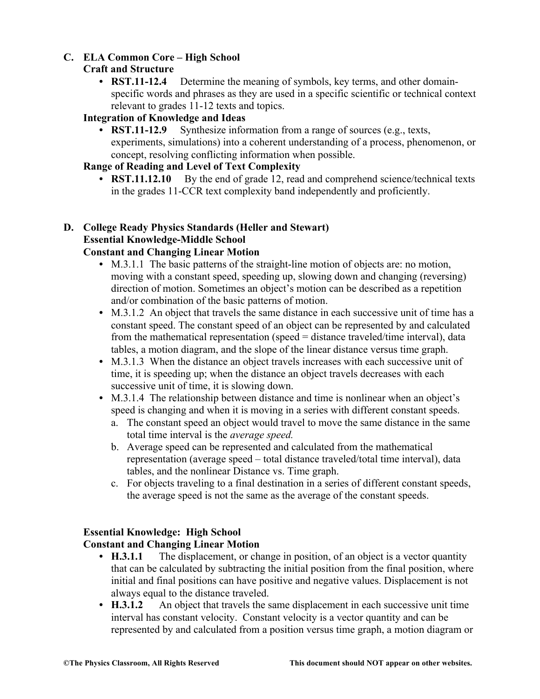# **C. ELA Common Core – High School**

# **Craft and Structure**

**• RST.11-12.4** Determine the meaning of symbols, key terms, and other domainspecific words and phrases as they are used in a specific scientific or technical context relevant to grades 11-12 texts and topics.

# **Integration of Knowledge and Ideas**

**• RST.11-12.9** Synthesize information from a range of sources (e.g., texts, experiments, simulations) into a coherent understanding of a process, phenomenon, or concept, resolving conflicting information when possible.

# **Range of Reading and Level of Text Complexity**

• **RST.11.12.10** By the end of grade 12, read and comprehend science/technical texts in the grades 11-CCR text complexity band independently and proficiently.

# **D. College Ready Physics Standards (Heller and Stewart) Essential Knowledge-Middle School**

# **Constant and Changing Linear Motion**

- **•** M.3.1.1 The basic patterns of the straight-line motion of objects are: no motion, moving with a constant speed, speeding up, slowing down and changing (reversing) direction of motion. Sometimes an object's motion can be described as a repetition and/or combination of the basic patterns of motion.
- **•** M.3.1.2 An object that travels the same distance in each successive unit of time has a constant speed. The constant speed of an object can be represented by and calculated from the mathematical representation (speed = distance traveled/time interval), data tables, a motion diagram, and the slope of the linear distance versus time graph.
- M.3.1.3 When the distance an object travels increases with each successive unit of time, it is speeding up; when the distance an object travels decreases with each successive unit of time, it is slowing down.
- **•** M.3.1.4 The relationship between distance and time is nonlinear when an object's speed is changing and when it is moving in a series with different constant speeds.
	- a. The constant speed an object would travel to move the same distance in the same total time interval is the *average speed.*
	- b. Average speed can be represented and calculated from the mathematical representation (average speed – total distance traveled/total time interval), data tables, and the nonlinear Distance vs. Time graph.
	- c. For objects traveling to a final destination in a series of different constant speeds, the average speed is not the same as the average of the constant speeds.

# **Essential Knowledge: High School**

### **Constant and Changing Linear Motion**

- **H.3.1.1** The displacement, or change in position, of an object is a vector quantity that can be calculated by subtracting the initial position from the final position, where initial and final positions can have positive and negative values. Displacement is not always equal to the distance traveled.
- **H.3.1.2** An object that travels the same displacement in each successive unit time interval has constant velocity. Constant velocity is a vector quantity and can be represented by and calculated from a position versus time graph, a motion diagram or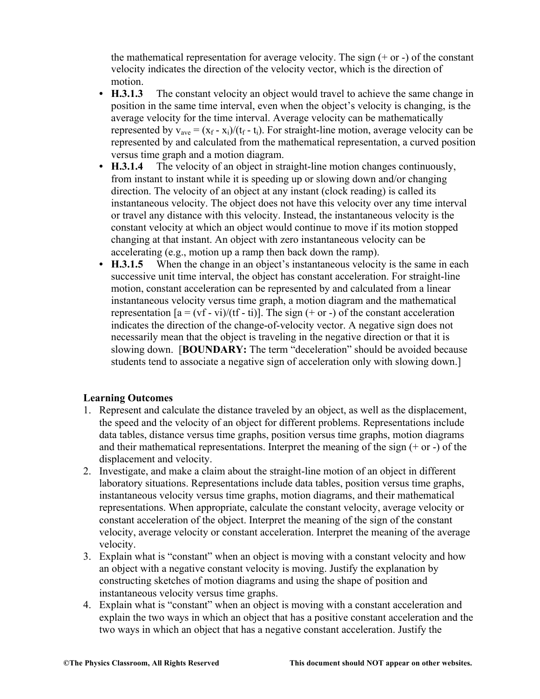the mathematical representation for average velocity. The sign  $(+ or -)$  of the constant velocity indicates the direction of the velocity vector, which is the direction of motion.

- **H.3.1.3** The constant velocity an object would travel to achieve the same change in position in the same time interval, even when the object's velocity is changing, is the average velocity for the time interval. Average velocity can be mathematically represented by  $v_{\text{ave}} = (x_f - x_i)/(t_f - t_i)$ . For straight-line motion, average velocity can be represented by and calculated from the mathematical representation, a curved position versus time graph and a motion diagram.
- **H.3.1.4** The velocity of an object in straight-line motion changes continuously, from instant to instant while it is speeding up or slowing down and/or changing direction. The velocity of an object at any instant (clock reading) is called its instantaneous velocity. The object does not have this velocity over any time interval or travel any distance with this velocity. Instead, the instantaneous velocity is the constant velocity at which an object would continue to move if its motion stopped changing at that instant. An object with zero instantaneous velocity can be accelerating (e.g., motion up a ramp then back down the ramp).
- **H.3.1.5** When the change in an object's instantaneous velocity is the same in each successive unit time interval, the object has constant acceleration. For straight-line motion, constant acceleration can be represented by and calculated from a linear instantaneous velocity versus time graph, a motion diagram and the mathematical representation  $[a = (vf - vi)/(tf - ti)]$ . The sign  $(+ or -)$  of the constant acceleration indicates the direction of the change-of-velocity vector. A negative sign does not necessarily mean that the object is traveling in the negative direction or that it is slowing down. [**BOUNDARY:** The term "deceleration" should be avoided because students tend to associate a negative sign of acceleration only with slowing down.]

### **Learning Outcomes**

- 1. Represent and calculate the distance traveled by an object, as well as the displacement, the speed and the velocity of an object for different problems. Representations include data tables, distance versus time graphs, position versus time graphs, motion diagrams and their mathematical representations. Interpret the meaning of the sign (+ or -) of the displacement and velocity.
- 2. Investigate, and make a claim about the straight-line motion of an object in different laboratory situations. Representations include data tables, position versus time graphs, instantaneous velocity versus time graphs, motion diagrams, and their mathematical representations. When appropriate, calculate the constant velocity, average velocity or constant acceleration of the object. Interpret the meaning of the sign of the constant velocity, average velocity or constant acceleration. Interpret the meaning of the average velocity.
- 3. Explain what is "constant" when an object is moving with a constant velocity and how an object with a negative constant velocity is moving. Justify the explanation by constructing sketches of motion diagrams and using the shape of position and instantaneous velocity versus time graphs.
- 4. Explain what is "constant" when an object is moving with a constant acceleration and explain the two ways in which an object that has a positive constant acceleration and the two ways in which an object that has a negative constant acceleration. Justify the